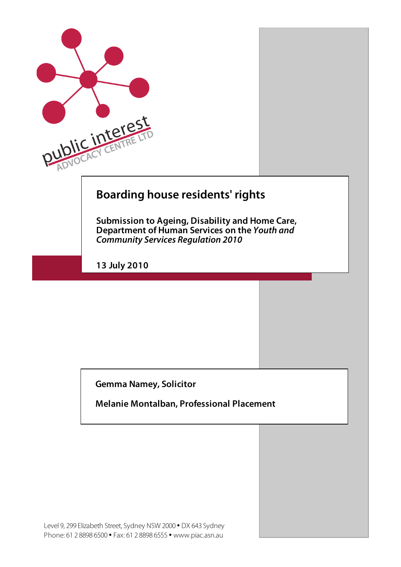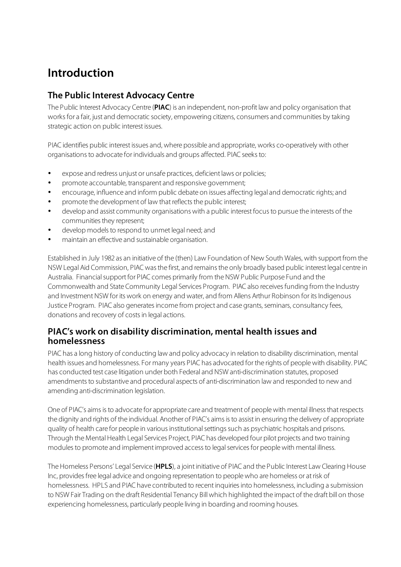# **Introduction**

# **The Public Interest Advocacy Centre**

The Public Interest Advocacy Centre (**PIAC**) is an independent, non-profit law and policy organisation that works for a fair, just and democratic society, empowering citizens, consumers and communities by taking strategic action on public interest issues.

PIAC identifies public interest issues and, where possible and appropriate, works co-operatively with other organisations to advocate for individuals and groups affected. PIAC seeks to:

- expose and redress unjust or unsafe practices, deficient laws or policies;
- promote accountable, transparent and responsive government;
- encourage, influence and inform public debate on issues affecting legal and democratic rights; and
- promote the development of law that reflects the public interest;
- develop and assist community organisations with a public interest focus to pursue the interests of the communities they represent;
- develop models to respond to unmet legal need; and
- maintain an effective and sustainable organisation.

Established in July 1982 as an initiative of the (then) Law Foundation of New South Wales, with support from the NSW Legal Aid Commission, PIAC was the first, and remains the only broadly based public interest legal centre in Australia. Financial support for PIAC comes primarily from the NSW Public Purpose Fund and the Commonwealth and State Community Legal Services Program. PIAC also receives funding from the Industry and Investment NSW for its work on energy and water, and from Allens Arthur Robinson for its Indigenous Justice Program. PIAC also generates income from project and case grants, seminars, consultancy fees, donations and recovery of costs in legal actions.

### **PIAC's work on disability discrimination, mental health issues and homelessness**

PIAC has a long history of conducting law and policy advocacy in relation to disability discrimination, mental health issues and homelessness. For many years PIAC has advocated for the rights of people with disability. PIAC has conducted test case litigation under both Federal and NSW anti-discrimination statutes, proposed amendments to substantive and procedural aspects of anti-discrimination law and responded to new and amending anti-discrimination legislation.

One of PIAC's aims is to advocate for appropriate care and treatment of people with mental illness that respects the dignity and rights of the individual. Another of PIAC's aims is to assist in ensuring the delivery of appropriate quality of health care for people in various institutional settings such as psychiatric hospitals and prisons. Through the Mental Health Legal Services Project, PIAC has developed four pilot projects and two training modules to promote and implement improved access to legal services for people with mental illness.

The Homeless Persons' Legal Service (**HPLS**), a joint initiative of PIAC and the Public Interest Law Clearing House Inc, provides free legal advice and ongoing representation to people who are homeless or at risk of homelessness. HPLS and PIAC have contributed to recent inquiries into homelessness, including a submission to NSW Fair Trading on the draft Residential Tenancy Bill which highlighted the impact of the draft bill on those experiencing homelessness, particularly people living in boarding and rooming houses.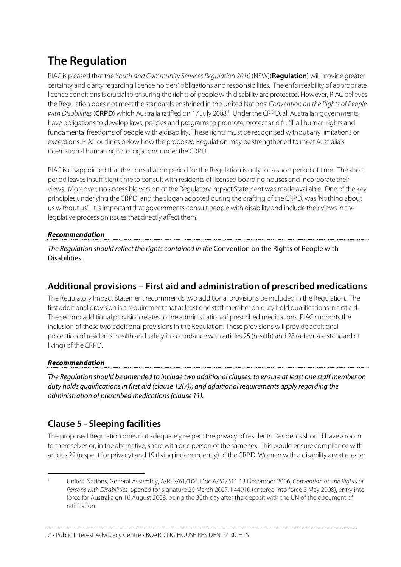# **The Regulation**

PIAC is pleased that the Youth and Community Services Regulation 2010 (NSW)(**Regulation**) will provide greater certainty and clarity regarding licence holders' obligations and responsibilities. The enforceability of appropriate licence conditions is crucial to ensuring the rights of people with disability are protected. However, PIAC believes the Regulation does not meet the standards enshrined in the United Nations' Convention on the Rights of People with Disabilities (**CRPD**) which Australia ratified on 17 July 2008.<sup>1</sup> Under the CRPD, all Australian governments have obligations to develop laws, policies and programs to promote, protect and fulfill all human rights and fundamental freedoms of people with a disability. These rights must be recognised without any limitations or exceptions. PIAC outlines below how the proposed Regulation may be strengthened to meet Australia's international human rights obligations under the CRPD.

PIAC is disappointed that the consultation period for the Regulation is only for a short period of time. The short period leaves insufficient time to consult with residents of licensed boarding houses and incorporate their views. Moreover, no accessible version of the Regulatory Impact Statement was made available. One of the key principles underlying the CRPD, and the slogan adopted during the drafting of the CRPD, was 'Nothing about us without us'. It is important that governments consult people with disability and include their views in the legislative process on issues that directly affect them.

#### **Recommendation**

The Regulation should reflect the rights contained in the Convention on the Rights of People with Disabilities.

# **Additional provisions – First aid and administration of prescribed medications**

The Regulatory Impact Statement recommends two additional provisions be included in the Regulation. The first additional provision is a requirement that at least one staff member on duty hold qualifications in first aid. The second additional provision relates to the administration of prescribed medications. PIAC supports the inclusion of these two additional provisions in the Regulation. These provisions will provide additional protection of residents' health and safety in accordance with articles 25 (health) and 28 (adequate standard of living) of the CRPD.

#### **Recommendation**

The Regulation should be amended to include two additional clauses: to ensure at least one staff member on duty holds qualifications in first aid (clause 12(7)); and additional requirements apply regarding the administration of prescribed medications (clause 11).

# **Clause 5 - Sleeping facilities**

The proposed Regulation does not adequately respect the privacy of residents. Residents should have a room to themselves or, in the alternative, share with one person of the same sex. This would ensure compliance with articles 22 (respect for privacy) and 19 (living independently) of the CRPD. Women with a disability are at greater

United Nations, General Assembly, A/RES/61/106, Doc.A/61/611 13 December 2006, Convention on the Rights of Persons with Disabilities, opened for signature 20 March 2007, I-44910 (entered into force 3 May 2008), entry into force for Australia on 16 August 2008, being the 30th day after the deposit with the UN of the document of ratification.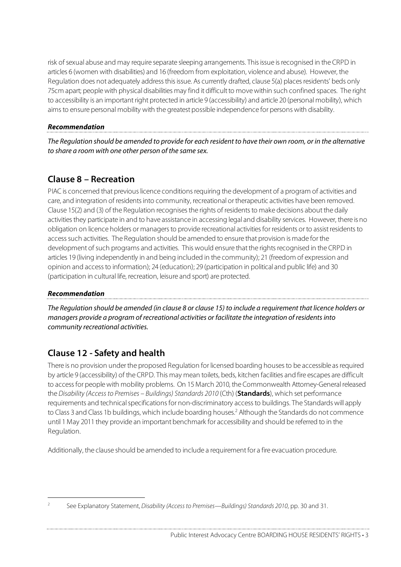risk of sexual abuse and may require separate sleeping arrangements. This issue is recognised in the CRPD in articles 6 (women with disabilities) and 16 (freedom from exploitation, violence and abuse). However, the Regulation does not adequately address this issue. As currently drafted, clause 5(a) places residents' beds only 75cm apart; people with physical disabilities may find it difficult to move within such confined spaces. The right to accessibility is an important right protected in article 9 (accessibility) and article 20 (personal mobility), which aims to ensure personal mobility with the greatest possible independence for persons with disability.

#### **Recommendation**

The Regulation should be amended to provide for each resident to have their own room, or in the alternative to share a room with one other person of the same sex.

# **Clause 8 – Recreation**

PIAC is concerned that previous licence conditions requiring the development of a program of activities and care, and integration of residents into community, recreational or therapeutic activities have been removed. Clause 15(2) and (3) of the Regulation recognises the rights of residents to make decisions about the daily activities they participate in and to have assistance in accessing legal and disability services. However, there is no obligation on licence holders or managers to provide recreational activities for residents or to assist residents to access such activities. The Regulation should be amended to ensure that provision is made for the development of such programs and activities. This would ensure that the rights recognised in the CRPD in articles 19 (living independently in and being included in the community); 21 (freedom of expression and opinion and access to information); 24 (education); 29 (participation in political and public life) and 30 (participation in cultural life, recreation, leisure and sport) are protected.

#### **Recommendation**

The Regulation should be amended (in clause 8 or clause 15) to include a requirement that licence holders or managers provide a program of recreational activities or facilitate the integration of residents into community recreational activities.

# **Clause 12 - Safety and health**

There is no provision under the proposed Regulation for licensed boarding houses to be accessible as required by article 9 (accessibility) of the CRPD. This may mean toilets, beds, kitchen facilities and fire escapes are difficult to access for people with mobility problems. On 15 March 2010, the Commonwealth Attorney-General released the Disability (Access to Premises – Buildings) Standards 2010 (Cth) (**Standards**), which set performance requirements and technical specifications for non-discriminatory access to buildings. The Standards will apply to Class 3 and Class 1b buildings, which include boarding houses.<sup>2</sup> Although the Standards do not commence until 1 May 2011 they provide an important benchmark for accessibility and should be referred to in the Regulation.

Additionally, the clause should be amended to include a requirement for a fire evacuation procedure.

See Explanatory Statement, Disability (Access to Premises—Buildings) Standards 2010, pp. 30 and 31.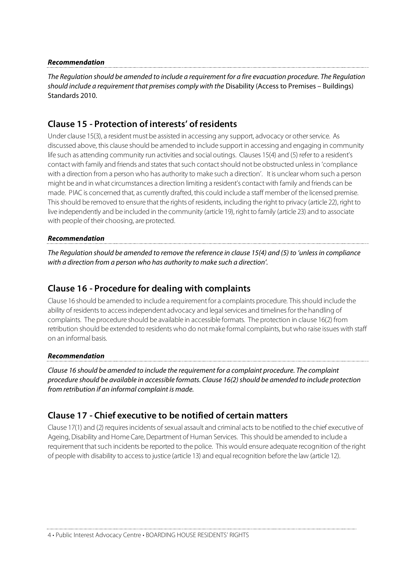#### **Recommendation**

The Regulation should be amended to include a requirement for a fire evacuation procedure. The Regulation should include a requirement that premises comply with the Disability (Access to Premises – Buildings) Standards 2010.

### **Clause 15 - Protection of interests' of residents**

Under clause 15(3), a resident must be assisted in accessing any support, advocacy or other service. As discussed above, this clause should be amended to include support in accessing and engaging in community life such as attending community run activities and social outings. Clauses 15(4) and (5) refer to a resident's contact with family and friends and states that such contact should not be obstructed unless in 'compliance with a direction from a person who has authority to make such a direction'. It is unclear whom such a person might be and in what circumstances a direction limiting a resident's contact with family and friends can be made. PIAC is concerned that, as currently drafted, this could include a staff member of the licensed premise. This should be removed to ensure that the rights of residents, including the right to privacy (article 22), right to live independently and be included in the community (article 19), right to family (article 23) and to associate with people of their choosing, are protected.

#### **Recommendation**

The Regulation should be amended to remove the reference in clause 15(4) and (5) to 'unless in compliance with a direction from a person who has authority to make such a direction'.

## **Clause 16 - Procedure for dealing with complaints**

Clause 16 should be amended to include a requirement for a complaints procedure. This should include the ability of residents to access independent advocacy and legal services and timelines for the handling of complaints. The procedure should be available in accessible formats. The protection in clause 16(2) from retribution should be extended to residents who do not make formal complaints, but who raise issues with staff on an informal basis.

#### **Recommendation**

Clause 16 should be amended to include the requirement for a complaint procedure. The complaint procedure should be available in accessible formats. Clause 16(2) should be amended to include protection from retribution if an informal complaint is made.

## **Clause 17 - Chief executive to be notified of certain matters**

Clause 17(1) and (2) requires incidents of sexual assault and criminal acts to be notified to the chief executive of Ageing, Disability and Home Care, Department of Human Services. This should be amended to include a requirement that such incidents be reported to the police. This would ensure adequate recognition of the right of people with disability to access to justice (article 13) and equal recognition before the law (article 12).